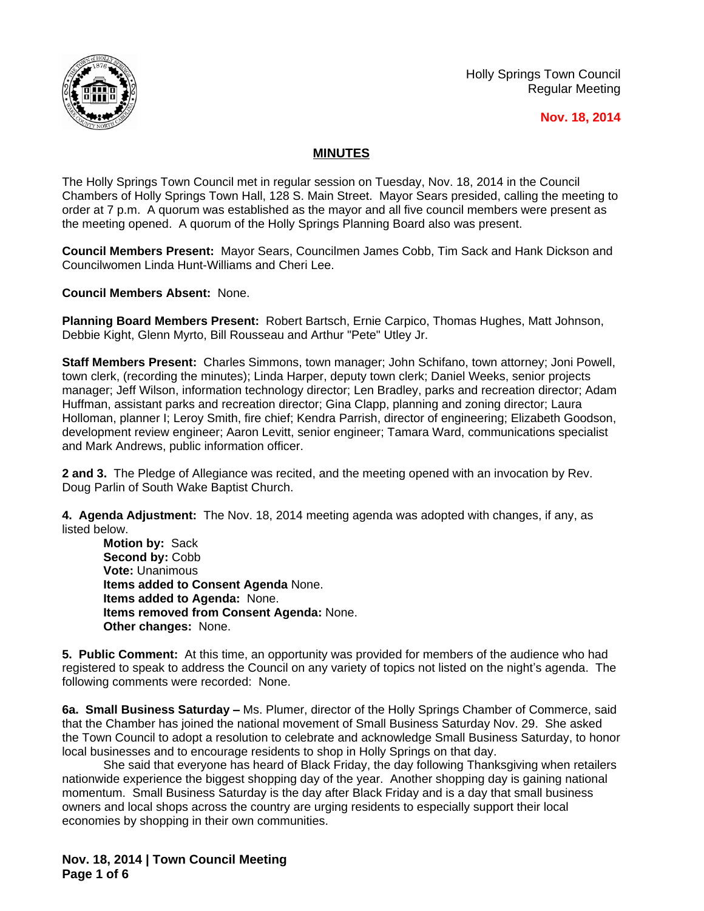

## **Nov. 18, 2014**

## **MINUTES**

The Holly Springs Town Council met in regular session on Tuesday, Nov. 18, 2014 in the Council Chambers of Holly Springs Town Hall, 128 S. Main Street. Mayor Sears presided, calling the meeting to order at 7 p.m. A quorum was established as the mayor and all five council members were present as the meeting opened. A quorum of the Holly Springs Planning Board also was present.

**Council Members Present:** Mayor Sears, Councilmen James Cobb, Tim Sack and Hank Dickson and Councilwomen Linda Hunt-Williams and Cheri Lee.

**Council Members Absent:** None.

**Planning Board Members Present:** Robert Bartsch, Ernie Carpico, Thomas Hughes, Matt Johnson, Debbie Kight, Glenn Myrto, Bill Rousseau and Arthur "Pete" Utley Jr.

**Staff Members Present:** Charles Simmons, town manager; John Schifano, town attorney; Joni Powell, town clerk, (recording the minutes); Linda Harper, deputy town clerk; Daniel Weeks, senior projects manager; Jeff Wilson, information technology director; Len Bradley, parks and recreation director; Adam Huffman, assistant parks and recreation director; Gina Clapp, planning and zoning director; Laura Holloman, planner I; Leroy Smith, fire chief; Kendra Parrish, director of engineering; Elizabeth Goodson, development review engineer; Aaron Levitt, senior engineer; Tamara Ward, communications specialist and Mark Andrews, public information officer.

**2 and 3.** The Pledge of Allegiance was recited, and the meeting opened with an invocation by Rev. Doug Parlin of South Wake Baptist Church.

**4. Agenda Adjustment:** The Nov. 18, 2014 meeting agenda was adopted with changes, if any, as listed below.

**Motion by:** Sack **Second by:** Cobb **Vote:** Unanimous **Items added to Consent Agenda** None. **Items added to Agenda:** None. **Items removed from Consent Agenda:** None. **Other changes:** None.

**5. Public Comment:** At this time, an opportunity was provided for members of the audience who had registered to speak to address the Council on any variety of topics not listed on the night's agenda. The following comments were recorded: None.

**6a. Small Business Saturday –** Ms. Plumer, director of the Holly Springs Chamber of Commerce, said that the Chamber has joined the national movement of Small Business Saturday Nov. 29. She asked the Town Council to adopt a resolution to celebrate and acknowledge Small Business Saturday, to honor local businesses and to encourage residents to shop in Holly Springs on that day.

She said that everyone has heard of Black Friday, the day following Thanksgiving when retailers nationwide experience the biggest shopping day of the year. Another shopping day is gaining national momentum. Small Business Saturday is the day after Black Friday and is a day that small business owners and local shops across the country are urging residents to especially support their local economies by shopping in their own communities.

**Nov. 18, 2014 | Town Council Meeting Page 1 of 6**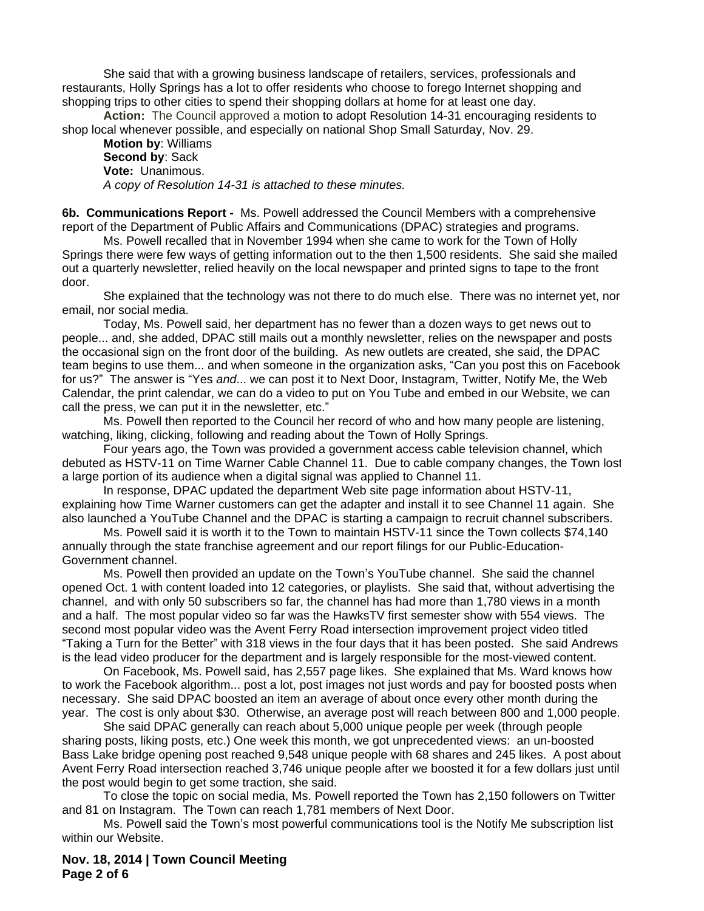She said that with a growing business landscape of retailers, services, professionals and restaurants, Holly Springs has a lot to offer residents who choose to forego Internet shopping and shopping trips to other cities to spend their shopping dollars at home for at least one day.

**Action:** The Council approved a motion to adopt Resolution 14-31 encouraging residents to shop local whenever possible, and especially on national Shop Small Saturday, Nov. 29.

**Motion by**: Williams **Second by**: Sack **Vote:** Unanimous. *A copy of Resolution 14-31 is attached to these minutes.*

**6b. Communications Report -** Ms. Powell addressed the Council Members with a comprehensive report of the Department of Public Affairs and Communications (DPAC) strategies and programs.

Ms. Powell recalled that in November 1994 when she came to work for the Town of Holly Springs there were few ways of getting information out to the then 1,500 residents. She said she mailed out a quarterly newsletter, relied heavily on the local newspaper and printed signs to tape to the front door.

She explained that the technology was not there to do much else. There was no internet yet, nor email, nor social media.

Today, Ms. Powell said, her department has no fewer than a dozen ways to get news out to people... and, she added, DPAC still mails out a monthly newsletter, relies on the newspaper and posts the occasional sign on the front door of the building. As new outlets are created, she said, the DPAC team begins to use them... and when someone in the organization asks, "Can you post this on Facebook for us?" The answer is "Yes *and*... we can post it to Next Door, Instagram, Twitter, Notify Me, the Web Calendar, the print calendar, we can do a video to put on You Tube and embed in our Website, we can call the press, we can put it in the newsletter, etc."

Ms. Powell then reported to the Council her record of who and how many people are listening, watching, liking, clicking, following and reading about the Town of Holly Springs.

Four years ago, the Town was provided a government access cable television channel, which debuted as HSTV-11 on Time Warner Cable Channel 11. Due to cable company changes, the Town lost a large portion of its audience when a digital signal was applied to Channel 11.

In response, DPAC updated the department Web site page information about HSTV-11, explaining how Time Warner customers can get the adapter and install it to see Channel 11 again. She also launched a YouTube Channel and the DPAC is starting a campaign to recruit channel subscribers.

Ms. Powell said it is worth it to the Town to maintain HSTV-11 since the Town collects \$74,140 annually through the state franchise agreement and our report filings for our Public-Education-Government channel.

Ms. Powell then provided an update on the Town's YouTube channel. She said the channel opened Oct. 1 with content loaded into 12 categories, or playlists. She said that, without advertising the channel, and with only 50 subscribers so far, the channel has had more than 1,780 views in a month and a half. The most popular video so far was the HawksTV first semester show with 554 views. The second most popular video was the Avent Ferry Road intersection improvement project video titled "Taking a Turn for the Better" with 318 views in the four days that it has been posted. She said Andrews is the lead video producer for the department and is largely responsible for the most-viewed content.

On Facebook, Ms. Powell said, has 2,557 page likes. She explained that Ms. Ward knows how to work the Facebook algorithm... post a lot, post images not just words and pay for boosted posts when necessary. She said DPAC boosted an item an average of about once every other month during the year. The cost is only about \$30. Otherwise, an average post will reach between 800 and 1,000 people.

She said DPAC generally can reach about 5,000 unique people per week (through people sharing posts, liking posts, etc.) One week this month, we got unprecedented views: an un-boosted Bass Lake bridge opening post reached 9,548 unique people with 68 shares and 245 likes. A post about Avent Ferry Road intersection reached 3,746 unique people after we boosted it for a few dollars just until the post would begin to get some traction, she said.

To close the topic on social media, Ms. Powell reported the Town has 2,150 followers on Twitter and 81 on Instagram. The Town can reach 1,781 members of Next Door.

Ms. Powell said the Town's most powerful communications tool is the Notify Me subscription list within our Website.

**Nov. 18, 2014 | Town Council Meeting Page 2 of 6**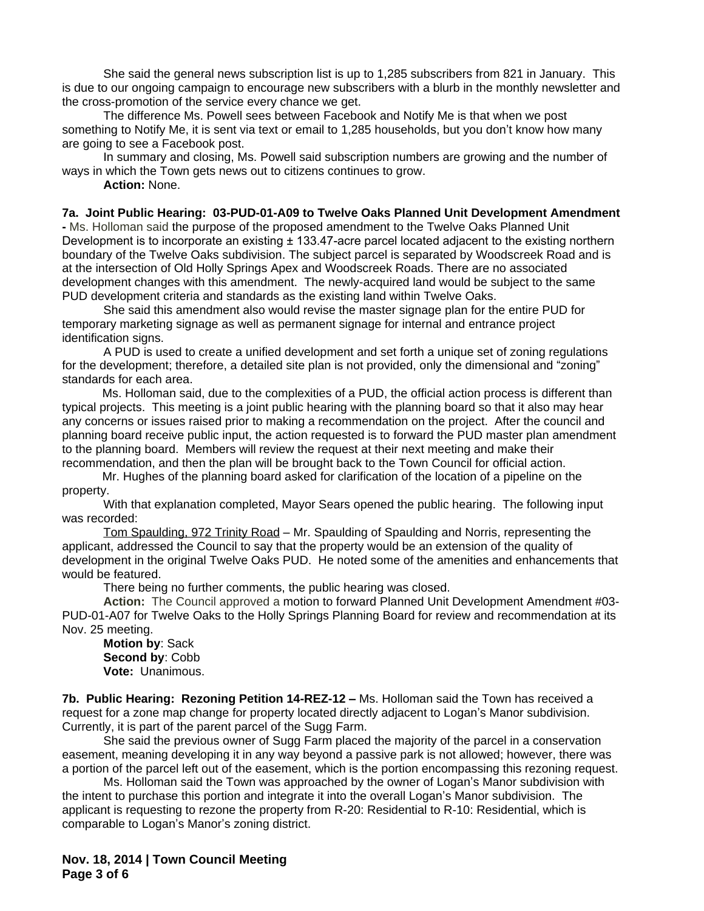She said the general news subscription list is up to 1,285 subscribers from 821 in January. This is due to our ongoing campaign to encourage new subscribers with a blurb in the monthly newsletter and the cross-promotion of the service every chance we get.

The difference Ms. Powell sees between Facebook and Notify Me is that when we post something to Notify Me, it is sent via text or email to 1,285 households, but you don't know how many are going to see a Facebook post.

In summary and closing, Ms. Powell said subscription numbers are growing and the number of ways in which the Town gets news out to citizens continues to grow.

**Action:** None.

**7a. Joint Public Hearing: 03-PUD-01-A09 to Twelve Oaks Planned Unit Development Amendment** 

**-** Ms. Holloman said the purpose of the proposed amendment to the Twelve Oaks Planned Unit Development is to incorporate an existing  $\pm$  133.47-acre parcel located adjacent to the existing northern boundary of the Twelve Oaks subdivision. The subject parcel is separated by Woodscreek Road and is at the intersection of Old Holly Springs Apex and Woodscreek Roads. There are no associated development changes with this amendment. The newly-acquired land would be subject to the same PUD development criteria and standards as the existing land within Twelve Oaks.

She said this amendment also would revise the master signage plan for the entire PUD for temporary marketing signage as well as permanent signage for internal and entrance project identification signs.

A PUD is used to create a unified development and set forth a unique set of zoning regulations for the development; therefore, a detailed site plan is not provided, only the dimensional and "zoning" standards for each area.

Ms. Holloman said, due to the complexities of a PUD, the official action process is different than typical projects. This meeting is a joint public hearing with the planning board so that it also may hear any concerns or issues raised prior to making a recommendation on the project. After the council and planning board receive public input, the action requested is to forward the PUD master plan amendment to the planning board. Members will review the request at their next meeting and make their recommendation, and then the plan will be brought back to the Town Council for official action.

Mr. Hughes of the planning board asked for clarification of the location of a pipeline on the property.

With that explanation completed, Mayor Sears opened the public hearing. The following input was recorded:

Tom Spaulding, 972 Trinity Road – Mr. Spaulding of Spaulding and Norris, representing the applicant, addressed the Council to say that the property would be an extension of the quality of development in the original Twelve Oaks PUD. He noted some of the amenities and enhancements that would be featured.

There being no further comments, the public hearing was closed.

**Action:** The Council approved a motion to forward Planned Unit Development Amendment #03- PUD-01-A07 for Twelve Oaks to the Holly Springs Planning Board for review and recommendation at its Nov. 25 meeting.

**Motion by**: Sack **Second by**: Cobb **Vote:** Unanimous.

**7b. Public Hearing: Rezoning Petition 14-REZ-12 –** Ms. Holloman said the Town has received a request for a zone map change for property located directly adjacent to Logan's Manor subdivision. Currently, it is part of the parent parcel of the Sugg Farm.

She said the previous owner of Sugg Farm placed the majority of the parcel in a conservation easement, meaning developing it in any way beyond a passive park is not allowed; however, there was a portion of the parcel left out of the easement, which is the portion encompassing this rezoning request.

Ms. Holloman said the Town was approached by the owner of Logan's Manor subdivision with the intent to purchase this portion and integrate it into the overall Logan's Manor subdivision. The applicant is requesting to rezone the property from R-20: Residential to R-10: Residential, which is comparable to Logan's Manor's zoning district.

**Nov. 18, 2014 | Town Council Meeting Page 3 of 6**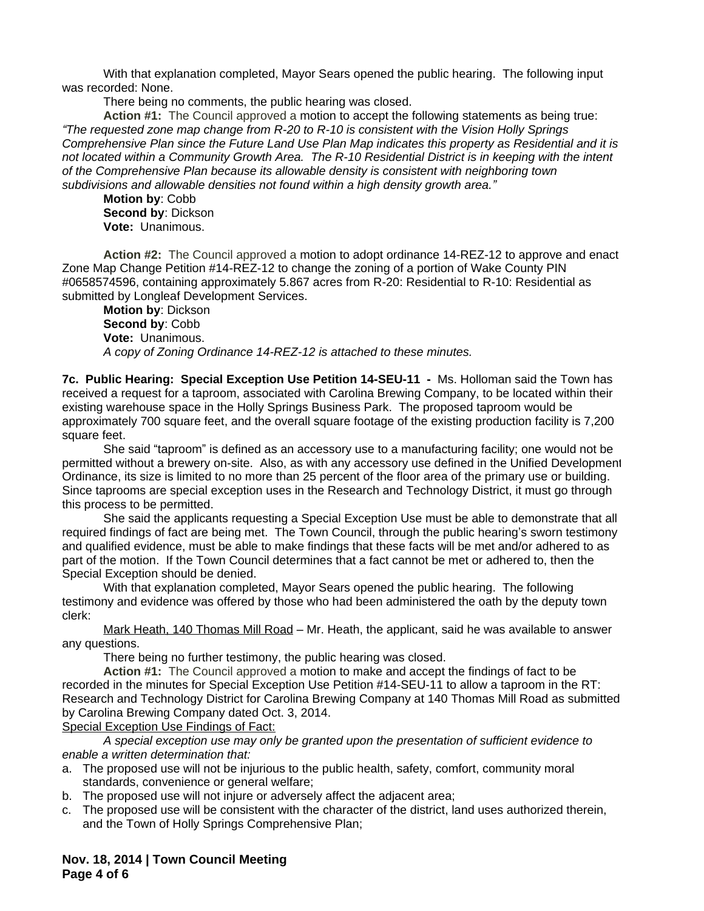With that explanation completed, Mayor Sears opened the public hearing. The following input was recorded: None.

There being no comments, the public hearing was closed.

**Action #1:** The Council approved a motion to accept the following statements as being true: *"The requested zone map change from R-20 to R-10 is consistent with the Vision Holly Springs Comprehensive Plan since the Future Land Use Plan Map indicates this property as Residential and it is not located within a Community Growth Area. The R-10 Residential District is in keeping with the intent of the Comprehensive Plan because its allowable density is consistent with neighboring town subdivisions and allowable densities not found within a high density growth area."*

**Motion by**: Cobb **Second by**: Dickson **Vote:** Unanimous.

**Action #2:** The Council approved a motion to adopt ordinance 14-REZ-12 to approve and enact Zone Map Change Petition #14-REZ-12 to change the zoning of a portion of Wake County PIN #0658574596, containing approximately 5.867 acres from R-20: Residential to R-10: Residential as submitted by Longleaf Development Services.

**Motion by**: Dickson **Second by**: Cobb **Vote:** Unanimous. *A copy of Zoning Ordinance 14-REZ-12 is attached to these minutes.*

**7c. Public Hearing: Special Exception Use Petition 14-SEU-11 -** Ms. Holloman said the Town has received a request for a taproom, associated with Carolina Brewing Company, to be located within their existing warehouse space in the Holly Springs Business Park. The proposed taproom would be approximately 700 square feet, and the overall square footage of the existing production facility is 7,200 square feet.

She said "taproom" is defined as an accessory use to a manufacturing facility; one would not be permitted without a brewery on-site. Also, as with any accessory use defined in the Unified Development Ordinance, its size is limited to no more than 25 percent of the floor area of the primary use or building. Since taprooms are special exception uses in the Research and Technology District, it must go through this process to be permitted.

She said the applicants requesting a Special Exception Use must be able to demonstrate that all required findings of fact are being met. The Town Council, through the public hearing's sworn testimony and qualified evidence, must be able to make findings that these facts will be met and/or adhered to as part of the motion. If the Town Council determines that a fact cannot be met or adhered to, then the Special Exception should be denied.

With that explanation completed, Mayor Sears opened the public hearing. The following testimony and evidence was offered by those who had been administered the oath by the deputy town clerk:

Mark Heath, 140 Thomas Mill Road – Mr. Heath, the applicant, said he was available to answer any questions.

There being no further testimony, the public hearing was closed.

**Action #1:** The Council approved a motion to make and accept the findings of fact to be recorded in the minutes for Special Exception Use Petition #14-SEU-11 to allow a taproom in the RT: Research and Technology District for Carolina Brewing Company at 140 Thomas Mill Road as submitted by Carolina Brewing Company dated Oct. 3, 2014.

Special Exception Use Findings of Fact:

*A special exception use may only be granted upon the presentation of sufficient evidence to enable a written determination that:*

- a. The proposed use will not be injurious to the public health, safety, comfort, community moral standards, convenience or general welfare;
- b. The proposed use will not injure or adversely affect the adjacent area;
- c. The proposed use will be consistent with the character of the district, land uses authorized therein, and the Town of Holly Springs Comprehensive Plan;

**Nov. 18, 2014 | Town Council Meeting Page 4 of 6**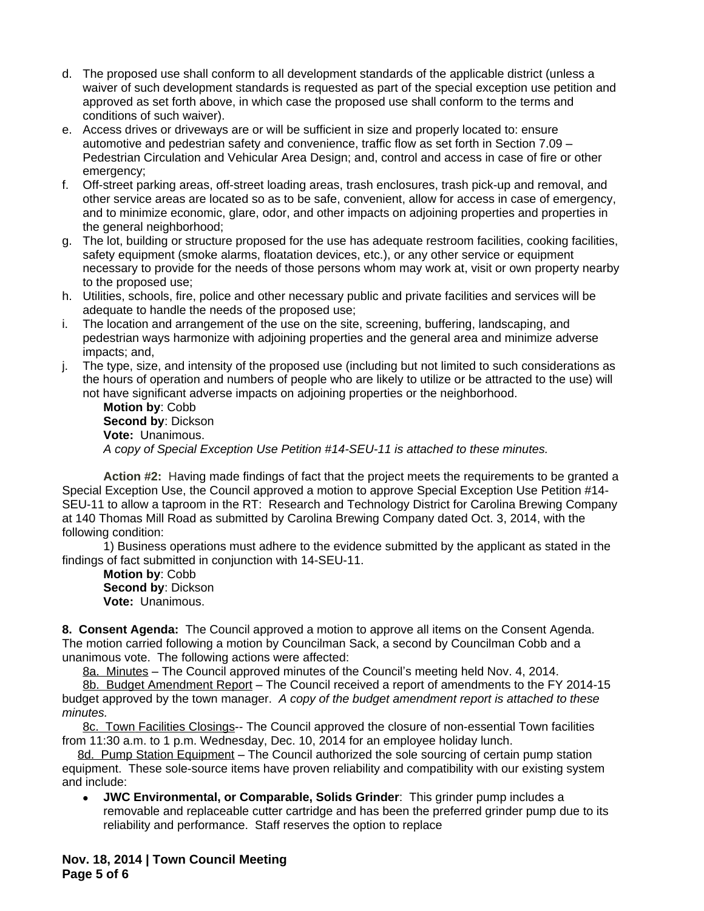- d. The proposed use shall conform to all development standards of the applicable district (unless a waiver of such development standards is requested as part of the special exception use petition and approved as set forth above, in which case the proposed use shall conform to the terms and conditions of such waiver).
- e. Access drives or driveways are or will be sufficient in size and properly located to: ensure automotive and pedestrian safety and convenience, traffic flow as set forth in Section 7.09 – Pedestrian Circulation and Vehicular Area Design; and, control and access in case of fire or other emergency;
- f. Off-street parking areas, off-street loading areas, trash enclosures, trash pick-up and removal, and other service areas are located so as to be safe, convenient, allow for access in case of emergency, and to minimize economic, glare, odor, and other impacts on adjoining properties and properties in the general neighborhood;
- g. The lot, building or structure proposed for the use has adequate restroom facilities, cooking facilities, safety equipment (smoke alarms, floatation devices, etc.), or any other service or equipment necessary to provide for the needs of those persons whom may work at, visit or own property nearby to the proposed use;
- h. Utilities, schools, fire, police and other necessary public and private facilities and services will be adequate to handle the needs of the proposed use;
- i. The location and arrangement of the use on the site, screening, buffering, landscaping, and pedestrian ways harmonize with adjoining properties and the general area and minimize adverse impacts; and,
- j. The type, size, and intensity of the proposed use (including but not limited to such considerations as the hours of operation and numbers of people who are likely to utilize or be attracted to the use) will not have significant adverse impacts on adjoining properties or the neighborhood.

**Motion by**: Cobb **Second by**: Dickson **Vote:** Unanimous. *A copy of Special Exception Use Petition #14-SEU-11 is attached to these minutes.*

**Action #2:** Having made findings of fact that the project meets the requirements to be granted a Special Exception Use, the Council approved a motion to approve Special Exception Use Petition #14- SEU-11 to allow a taproom in the RT: Research and Technology District for Carolina Brewing Company at 140 Thomas Mill Road as submitted by Carolina Brewing Company dated Oct. 3, 2014, with the following condition:

1) Business operations must adhere to the evidence submitted by the applicant as stated in the findings of fact submitted in conjunction with 14-SEU-11.

**Motion by**: Cobb **Second by**: Dickson **Vote:** Unanimous.

**8. Consent Agenda:** The Council approved a motion to approve all items on the Consent Agenda. The motion carried following a motion by Councilman Sack, a second by Councilman Cobb and a unanimous vote. The following actions were affected:

8a. Minutes – The Council approved minutes of the Council's meeting held Nov. 4, 2014.

8b. Budget Amendment Report – The Council received a report of amendments to the FY 2014-15 budget approved by the town manager. *A copy of the budget amendment report is attached to these minutes.*

8c. Town Facilities Closings-- The Council approved the closure of non-essential Town facilities from 11:30 a.m. to 1 p.m. Wednesday, Dec. 10, 2014 for an employee holiday lunch.

8d. Pump Station Equipment – The Council authorized the sole sourcing of certain pump station equipment. These sole-source items have proven reliability and compatibility with our existing system and include:

 **JWC Environmental, or Comparable, Solids Grinder**: This grinder pump includes a removable and replaceable cutter cartridge and has been the preferred grinder pump due to its reliability and performance. Staff reserves the option to replace

**Nov. 18, 2014 | Town Council Meeting Page 5 of 6**